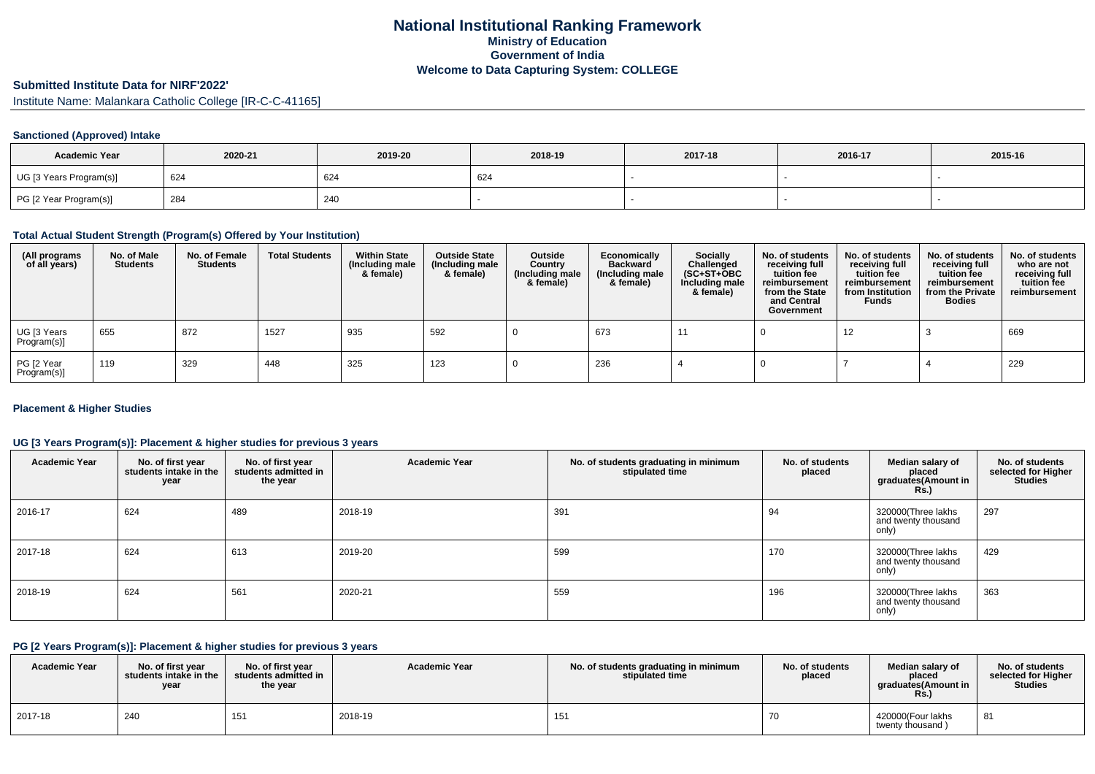# **Submitted Institute Data for NIRF'2022'**

Institute Name: Malankara Catholic College [IR-C-C-41165]

### **Sanctioned (Approved) Intake**

| <b>Academic Year</b>    | 2020-21 | 2019-20 | 2018-19 | 2017-18 | 2016-17 | 2015-16 |
|-------------------------|---------|---------|---------|---------|---------|---------|
| UG [3 Years Program(s)] | 624     | 624     | 624     |         |         |         |
| PG [2 Year Program(s)]  | 284     | 240     |         |         |         |         |

#### **Total Actual Student Strength (Program(s) Offered by Your Institution)**

| (All programs<br>of all years) | No. of Male<br><b>Students</b> | No. of Female<br>Students | <b>Total Students</b> | <b>Within State</b><br>(Including male<br>& female) | <b>Outside State</b><br>(Including male<br>& female) | Outside<br>Country<br>(Including male<br>& female) | Economically<br><b>Backward</b><br>(Including male<br>& female) | <b>Socially</b><br>Challenged<br>$(SC+ST+OBC)$<br>Including male<br>& female) | No. of students<br>receiving full<br>tuition fee<br>reimbursement<br>from the State<br>and Central<br>Government | No. of students<br>receiving full<br>tuition fee<br>reimbursement<br>from Institution<br><b>Funds</b> | No. of students<br>receiving full<br>tuition fee<br>reimbursement<br>from the Private<br><b>Bodies</b> | No. of students<br>who are not<br>receiving full<br>tuition fee<br>reimbursement |
|--------------------------------|--------------------------------|---------------------------|-----------------------|-----------------------------------------------------|------------------------------------------------------|----------------------------------------------------|-----------------------------------------------------------------|-------------------------------------------------------------------------------|------------------------------------------------------------------------------------------------------------------|-------------------------------------------------------------------------------------------------------|--------------------------------------------------------------------------------------------------------|----------------------------------------------------------------------------------|
| UG [3 Years<br>Program(s)]     | 655                            | 872                       | 1527                  | 935                                                 | 592                                                  |                                                    | 673                                                             | -11                                                                           |                                                                                                                  | 12                                                                                                    |                                                                                                        | 669                                                                              |
| PG [2 Year<br>Program(s)]      | 119                            | 329                       | 448                   | 325                                                 | 123                                                  |                                                    | 236                                                             |                                                                               |                                                                                                                  |                                                                                                       |                                                                                                        | 229                                                                              |

#### **Placement & Higher Studies**

#### **UG [3 Years Program(s)]: Placement & higher studies for previous 3 years**

| <b>Academic Year</b> | No. of first year<br>students intake in the<br>year | No. of first year<br>students admitted in<br>the year | <b>Academic Year</b> | No. of students graduating in minimum<br>stipulated time | No. of students<br>placed | Median salary of<br>placed<br>graduates(Amount in<br><b>Rs.)</b> | No. of students<br>selected for Higher<br><b>Studies</b> |
|----------------------|-----------------------------------------------------|-------------------------------------------------------|----------------------|----------------------------------------------------------|---------------------------|------------------------------------------------------------------|----------------------------------------------------------|
| 2016-17              | 624                                                 | 489                                                   | 2018-19              | 391                                                      | 94                        | 320000(Three lakhs<br>and twenty thousand<br>only)               | 297                                                      |
| 2017-18              | 624                                                 | 613                                                   | 2019-20              | 599                                                      | 170                       | 320000(Three lakhs<br>and twenty thousand<br>only)               | 429                                                      |
| 2018-19              | 624                                                 | 561                                                   | 2020-21              | 559                                                      | 196                       | 320000(Three lakhs<br>and twenty thousand<br>only)               | 363                                                      |

### **PG [2 Years Program(s)]: Placement & higher studies for previous 3 years**

| <b>Academic Year</b> | No. of first vear<br>students intake in the<br>year | No. of first year<br>students admitted in<br>the year | <b>Academic Year</b> | No. of students graduating in minimum<br>stipulated time | No. of students<br>placed | Median salary of<br>placed<br>araduates(Amount in<br>KS. | No. of students<br>selected for Higher<br><b>Studies</b> |
|----------------------|-----------------------------------------------------|-------------------------------------------------------|----------------------|----------------------------------------------------------|---------------------------|----------------------------------------------------------|----------------------------------------------------------|
| 2017-18              | 240                                                 | ن ا                                                   | 2018-19              | 151                                                      |                           | 420000(Four lakhs<br>twenty thousand)                    | 81                                                       |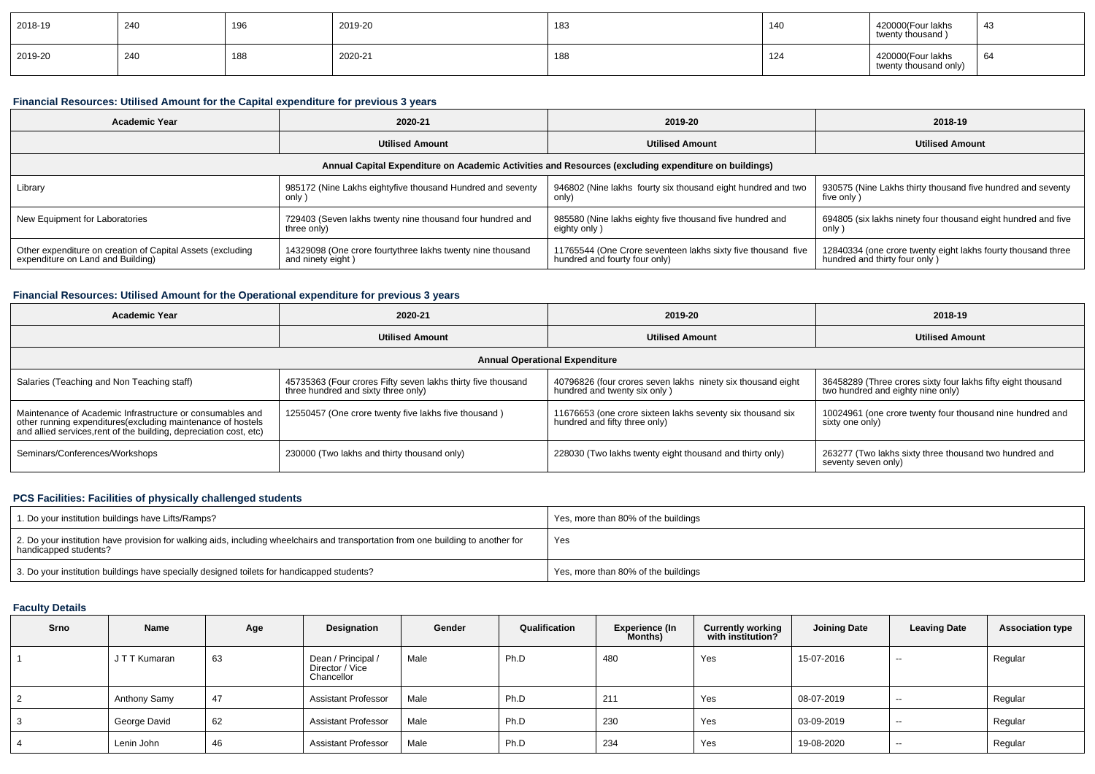| 2018-19 | 240 | 196        | 2019-20 | 183 | 140                   | 420000(Four lakhs<br>twenty thousand )     | 43 |
|---------|-----|------------|---------|-----|-----------------------|--------------------------------------------|----|
| 2019-20 | 240 | 100<br>ιου | 2020-21 | 188 | $\overline{A}$<br>144 | 420000(Four lakhs<br>twenty thousand only) | 64 |

# **Financial Resources: Utilised Amount for the Capital expenditure for previous 3 years**

| Academic Year                                              | 2020-21                                                    | 2019-20                                                                                              | 2018-19                                                       |
|------------------------------------------------------------|------------------------------------------------------------|------------------------------------------------------------------------------------------------------|---------------------------------------------------------------|
|                                                            | <b>Utilised Amount</b>                                     | <b>Utilised Amount</b>                                                                               | <b>Utilised Amount</b>                                        |
|                                                            |                                                            | Annual Capital Expenditure on Academic Activities and Resources (excluding expenditure on buildings) |                                                               |
| Library                                                    | 985172 (Nine Lakhs eightyfive thousand Hundred and seventy | 946802 (Nine lakhs fourty six thousand eight hundred and two                                         | 930575 (Nine Lakhs thirty thousand five hundred and seventy   |
|                                                            | only )                                                     | only)                                                                                                | five only)                                                    |
| New Equipment for Laboratories                             | 729403 (Seven lakhs twenty nine thousand four hundred and  | 985580 (Nine lakhs eighty five thousand five hundred and                                             | 694805 (six lakhs ninety four thousand eight hundred and five |
|                                                            | three only)                                                | eighty only)                                                                                         | only                                                          |
| Other expenditure on creation of Capital Assets (excluding | 14329098 (One crore fourtythree lakhs twenty nine thousand | 11765544 (One Crore seventeen lakhs sixty five thousand five                                         | 12840334 (one crore twenty eight lakhs fourty thousand three  |
| expenditure on Land and Building)                          | and ninety eight)                                          | hundred and fourty four only)                                                                        | hundred and thirty four only)                                 |

## **Financial Resources: Utilised Amount for the Operational expenditure for previous 3 years**

| <b>Academic Year</b>                                                                                                                                                                            | 2020-21                                                                                             | 2019-20                                                                                     | 2018-19                                                                                           |  |
|-------------------------------------------------------------------------------------------------------------------------------------------------------------------------------------------------|-----------------------------------------------------------------------------------------------------|---------------------------------------------------------------------------------------------|---------------------------------------------------------------------------------------------------|--|
|                                                                                                                                                                                                 | <b>Utilised Amount</b>                                                                              | <b>Utilised Amount</b>                                                                      | <b>Utilised Amount</b>                                                                            |  |
|                                                                                                                                                                                                 |                                                                                                     | <b>Annual Operational Expenditure</b>                                                       |                                                                                                   |  |
| Salaries (Teaching and Non Teaching staff)                                                                                                                                                      | 45735363 (Four crores Fifty seven lakhs thirty five thousand<br>three hundred and sixty three only) | 40796826 (four crores seven lakhs ninety six thousand eight<br>hundred and twenty six only) | 36458289 (Three crores sixty four lakhs fifty eight thousand<br>two hundred and eighty nine only) |  |
| Maintenance of Academic Infrastructure or consumables and<br>other running expenditures (excluding maintenance of hostels<br>and allied services, rent of the building, depreciation cost, etc) | 12550457 (One crore twenty five lakhs five thousand)                                                | 11676653 (one crore sixteen lakhs seventy six thousand six<br>hundred and fifty three only) | 10024961 (one crore twenty four thousand nine hundred and<br>sixty one only)                      |  |
| Seminars/Conferences/Workshops                                                                                                                                                                  | 230000 (Two lakhs and thirty thousand only)                                                         | 228030 (Two lakhs twenty eight thousand and thirty only)                                    | 263277 (Two lakhs sixty three thousand two hundred and<br>seventy seven only)                     |  |

## **PCS Facilities: Facilities of physically challenged students**

| 1. Do your institution buildings have Lifts/Ramps?                                                                                                         | Yes, more than 80% of the buildings |
|------------------------------------------------------------------------------------------------------------------------------------------------------------|-------------------------------------|
| 2. Do your institution have provision for walking aids, including wheelchairs and transportation from one building to another for<br>handicapped students? | Yes                                 |
| 3. Do your institution buildings have specially designed toilets for handicapped students?                                                                 | Yes, more than 80% of the buildings |

### **Faculty Details**

| <b>Srno</b> | Name          | Age | Designation                                         | Gender | Qualification | <b>Experience (In</b><br>Months) | <b>Currently working</b><br>with institution? | <b>Joining Date</b> | <b>Leaving Date</b> | <b>Association type</b> |
|-------------|---------------|-----|-----------------------------------------------------|--------|---------------|----------------------------------|-----------------------------------------------|---------------------|---------------------|-------------------------|
|             | J T T Kumaran | 63  | Dean / Principal /<br>Director / Vice<br>Chancellor | Male   | Ph.D          | 480                              | Yes                                           | 15-07-2016          | $- -$               | Regular                 |
|             | Anthony Samy  | 47  | <b>Assistant Professor</b>                          | Male   | Ph.D          | 211                              | Yes                                           | 08-07-2019          | $- -$               | Regular                 |
|             | George David  | 62  | <b>Assistant Professor</b>                          | Male   | Ph.D          | 230                              | Yes                                           | 03-09-2019          | $- -$               | Regular                 |
|             | Lenin John    | 46  | <b>Assistant Professor</b>                          | Male   | Ph.D          | 234                              | Yes                                           | 19-08-2020          | $- -$               | Regular                 |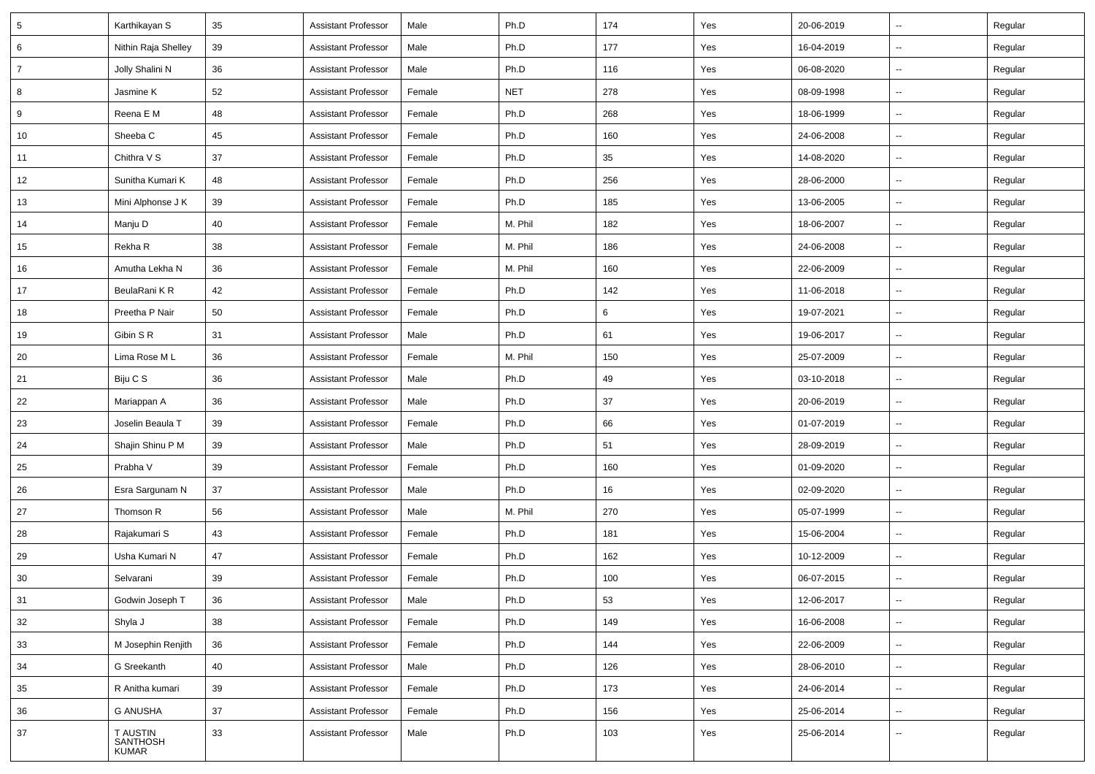| 5              | Karthikayan S                        | 35 | <b>Assistant Professor</b> | Male   | Ph.D       | 174 | Yes | 20-06-2019 | $\sim$                   | Regular |
|----------------|--------------------------------------|----|----------------------------|--------|------------|-----|-----|------------|--------------------------|---------|
| 6              | Nithin Raja Shelley                  | 39 | <b>Assistant Professor</b> | Male   | Ph.D       | 177 | Yes | 16-04-2019 | $\sim$                   | Regular |
| $\overline{7}$ | Jolly Shalini N                      | 36 | Assistant Professor        | Male   | Ph.D       | 116 | Yes | 06-08-2020 | --                       | Regular |
| 8              | Jasmine K                            | 52 | <b>Assistant Professor</b> | Female | <b>NET</b> | 278 | Yes | 08-09-1998 | Ξ.                       | Regular |
| 9              | Reena E M                            | 48 | <b>Assistant Professor</b> | Female | Ph.D       | 268 | Yes | 18-06-1999 | $\sim$                   | Regular |
| 10             | Sheeba C                             | 45 | <b>Assistant Professor</b> | Female | Ph.D       | 160 | Yes | 24-06-2008 | ш,                       | Regular |
| 11             | Chithra V S                          | 37 | <b>Assistant Professor</b> | Female | Ph.D       | 35  | Yes | 14-08-2020 | $\sim$                   | Regular |
| 12             | Sunitha Kumari K                     | 48 | <b>Assistant Professor</b> | Female | Ph.D       | 256 | Yes | 28-06-2000 | $\sim$                   | Regular |
| 13             | Mini Alphonse J K                    | 39 | <b>Assistant Professor</b> | Female | Ph.D       | 185 | Yes | 13-06-2005 | $\sim$                   | Regular |
| 14             | Manju D                              | 40 | <b>Assistant Professor</b> | Female | M. Phil    | 182 | Yes | 18-06-2007 | --                       | Regular |
| 15             | Rekha R                              | 38 | <b>Assistant Professor</b> | Female | M. Phil    | 186 | Yes | 24-06-2008 | $\sim$                   | Regular |
| 16             | Amutha Lekha N                       | 36 | <b>Assistant Professor</b> | Female | M. Phil    | 160 | Yes | 22-06-2009 | $\frac{1}{2}$            | Regular |
| 17             | BeulaRani KR                         | 42 | <b>Assistant Professor</b> | Female | Ph.D       | 142 | Yes | 11-06-2018 | $\sim$                   | Regular |
| 18             | Preetha P Nair                       | 50 | <b>Assistant Professor</b> | Female | Ph.D       | 6   | Yes | 19-07-2021 | $\sim$                   | Regular |
| 19             | Gibin S R                            | 31 | <b>Assistant Professor</b> | Male   | Ph.D       | 61  | Yes | 19-06-2017 | Щ,                       | Regular |
| 20             | Lima Rose ML                         | 36 | <b>Assistant Professor</b> | Female | M. Phil    | 150 | Yes | 25-07-2009 | $\sim$                   | Regular |
| 21             | Biju C S                             | 36 | <b>Assistant Professor</b> | Male   | Ph.D       | 49  | Yes | 03-10-2018 | $\overline{\phantom{a}}$ | Regular |
| 22             | Mariappan A                          | 36 | <b>Assistant Professor</b> | Male   | Ph.D       | 37  | Yes | 20-06-2019 | $\sim$                   | Regular |
| 23             | Joselin Beaula T                     | 39 | Assistant Professor        | Female | Ph.D       | 66  | Yes | 01-07-2019 | $\sim$                   | Regular |
| 24             | Shajin Shinu P M                     | 39 | <b>Assistant Professor</b> | Male   | Ph.D       | 51  | Yes | 28-09-2019 | $\sim$                   | Regular |
| 25             | Prabha V                             | 39 | <b>Assistant Professor</b> | Female | Ph.D       | 160 | Yes | 01-09-2020 | Щ,                       | Regular |
| 26             | Esra Sargunam N                      | 37 | <b>Assistant Professor</b> | Male   | Ph.D       | 16  | Yes | 02-09-2020 | $\sim$                   | Regular |
| 27             | Thomson R                            | 56 | <b>Assistant Professor</b> | Male   | M. Phil    | 270 | Yes | 05-07-1999 | $\overline{a}$           | Regular |
| 28             | Rajakumari S                         | 43 | <b>Assistant Professor</b> | Female | Ph.D       | 181 | Yes | 15-06-2004 | ш.                       | Regular |
| 29             | Usha Kumari N                        | 47 | <b>Assistant Professor</b> | Female | Ph.D       | 162 | Yes | 10-12-2009 | ш,                       | Regular |
| 30             | Selvarani                            | 39 | <b>Assistant Professor</b> | Female | Ph.D       | 100 | Yes | 06-07-2015 | $\sim$                   | Regular |
| 31             | Godwin Joseph T                      | 36 | <b>Assistant Professor</b> | Male   | Ph.D       | 53  | Yes | 12-06-2017 | $\overline{\phantom{a}}$ | Regular |
| 32             | Shyla J                              | 38 | <b>Assistant Professor</b> | Female | Ph.D       | 149 | Yes | 16-06-2008 | u.                       | Regular |
| 33             | M Josephin Renjith                   | 36 | <b>Assistant Professor</b> | Female | Ph.D       | 144 | Yes | 22-06-2009 | ωú.                      | Regular |
| 34             | G Sreekanth                          | 40 | <b>Assistant Professor</b> | Male   | Ph.D       | 126 | Yes | 28-06-2010 | u.                       | Regular |
| 35             | R Anitha kumari                      | 39 | <b>Assistant Professor</b> | Female | Ph.D       | 173 | Yes | 24-06-2014 | ш.                       | Regular |
| 36             | <b>G ANUSHA</b>                      | 37 | <b>Assistant Professor</b> | Female | Ph.D       | 156 | Yes | 25-06-2014 | $\overline{\phantom{a}}$ | Regular |
| 37             | T AUSTIN<br>SANTHOSH<br><b>KUMAR</b> | 33 | <b>Assistant Professor</b> | Male   | Ph.D       | 103 | Yes | 25-06-2014 | Щ,                       | Regular |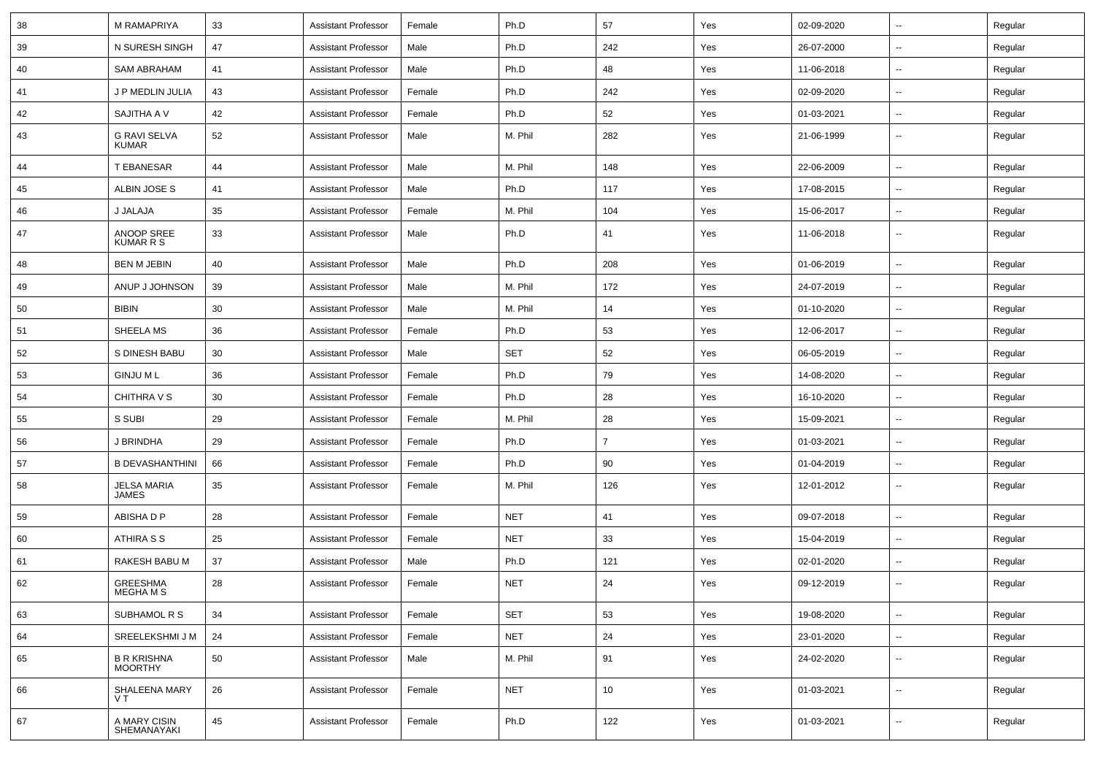| 38 | M RAMAPRIYA                    | 33 | <b>Assistant Professor</b> | Female | Ph.D       | 57             | Yes | 02-09-2020 | $\overline{\phantom{a}}$ | Regular |
|----|--------------------------------|----|----------------------------|--------|------------|----------------|-----|------------|--------------------------|---------|
| 39 | N SURESH SINGH                 | 47 | <b>Assistant Professor</b> | Male   | Ph.D       | 242            | Yes | 26-07-2000 | ⊷.                       | Regular |
| 40 | <b>SAM ABRAHAM</b>             | 41 | <b>Assistant Professor</b> | Male   | Ph.D       | 48             | Yes | 11-06-2018 | $\overline{\phantom{a}}$ | Regular |
| 41 | J P MEDLIN JULIA               | 43 | <b>Assistant Professor</b> | Female | Ph.D       | 242            | Yes | 02-09-2020 | --                       | Regular |
| 42 | SAJITHA A V                    | 42 | <b>Assistant Professor</b> | Female | Ph.D       | 52             | Yes | 01-03-2021 | --                       | Regular |
| 43 | G RAVI SELVA<br><b>KUMAR</b>   | 52 | <b>Assistant Professor</b> | Male   | M. Phil    | 282            | Yes | 21-06-1999 | $\overline{\phantom{a}}$ | Regular |
| 44 | T EBANESAR                     | 44 | <b>Assistant Professor</b> | Male   | M. Phil    | 148            | Yes | 22-06-2009 | $\overline{\phantom{a}}$ | Regular |
| 45 | ALBIN JOSE S                   | 41 | <b>Assistant Professor</b> | Male   | Ph.D       | 117            | Yes | 17-08-2015 | $\overline{\phantom{a}}$ | Regular |
| 46 | J JALAJA                       | 35 | <b>Assistant Professor</b> | Female | M. Phil    | 104            | Yes | 15-06-2017 | ⊷.                       | Regular |
| 47 | ANOOP SREE<br><b>KUMAR R S</b> | 33 | <b>Assistant Professor</b> | Male   | Ph.D       | 41             | Yes | 11-06-2018 | $\overline{\phantom{a}}$ | Regular |
| 48 | <b>BEN M JEBIN</b>             | 40 | <b>Assistant Professor</b> | Male   | Ph.D       | 208            | Yes | 01-06-2019 | $\overline{\phantom{a}}$ | Regular |
| 49 | ANUP J JOHNSON                 | 39 | <b>Assistant Professor</b> | Male   | M. Phil    | 172            | Yes | 24-07-2019 | --                       | Regular |
| 50 | <b>BIBIN</b>                   | 30 | <b>Assistant Professor</b> | Male   | M. Phil    | 14             | Yes | 01-10-2020 | -−                       | Regular |
| 51 | SHEELA MS                      | 36 | <b>Assistant Professor</b> | Female | Ph.D       | 53             | Yes | 12-06-2017 | ⊷.                       | Regular |
| 52 | S DINESH BABU                  | 30 | <b>Assistant Professor</b> | Male   | <b>SET</b> | 52             | Yes | 06-05-2019 | ⊷.                       | Regular |
| 53 | <b>GINJU ML</b>                | 36 | <b>Assistant Professor</b> | Female | Ph.D       | 79             | Yes | 14-08-2020 | ⊷.                       | Regular |
| 54 | CHITHRA V S                    | 30 | <b>Assistant Professor</b> | Female | Ph.D       | 28             | Yes | 16-10-2020 | --                       | Regular |
| 55 | S SUBI                         | 29 | <b>Assistant Professor</b> | Female | M. Phil    | 28             | Yes | 15-09-2021 | --                       | Regular |
| 56 | J BRINDHA                      | 29 | <b>Assistant Professor</b> | Female | Ph.D       | $\overline{7}$ | Yes | 01-03-2021 | н.                       | Regular |
| 57 | <b>B DEVASHANTHINI</b>         | 66 | <b>Assistant Professor</b> | Female | Ph.D       | 90             | Yes | 01-04-2019 | --                       | Regular |
| 58 | <b>JELSA MARIA</b><br>JAMES    | 35 | <b>Assistant Professor</b> | Female | M. Phil    | 126            | Yes | 12-01-2012 | ⊷.                       | Regular |
| 59 | ABISHA D P                     | 28 | <b>Assistant Professor</b> | Female | <b>NET</b> | 41             | Yes | 09-07-2018 | $\overline{\phantom{a}}$ | Regular |
| 60 | ATHIRA S S                     | 25 | <b>Assistant Professor</b> | Female | <b>NET</b> | 33             | Yes | 15-04-2019 | ⊷.                       | Regular |
| 61 | RAKESH BABU M                  | 37 | <b>Assistant Professor</b> | Male   | Ph.D       | 121            | Yes | 02-01-2020 | --                       | Regular |
| 62 | GREESHMA<br>MEGHA M S          | 28 | <b>Assistant Professor</b> | Female | <b>NET</b> | 24             | Yes | 09-12-2019 | --                       | Regular |
| 63 | SUBHAMOL R S                   | 34 | <b>Assistant Professor</b> | Female | <b>SET</b> | 53             | Yes | 19-08-2020 | Ξ.                       | Regular |
| 64 | SREELEKSHMI J M                | 24 | <b>Assistant Professor</b> | Female | <b>NET</b> | 24             | Yes | 23-01-2020 | ш,                       | Regular |
| 65 | B R KRISHNA<br>MOORTHY         | 50 | <b>Assistant Professor</b> | Male   | M. Phil    | 91             | Yes | 24-02-2020 | н.                       | Regular |
| 66 | SHALEENA MARY<br>VT            | 26 | <b>Assistant Professor</b> | Female | <b>NET</b> | 10             | Yes | 01-03-2021 | Ξ.                       | Regular |
| 67 | A MARY CISIN<br>SHEMANAYAKI    | 45 | <b>Assistant Professor</b> | Female | Ph.D       | 122            | Yes | 01-03-2021 | Ξ.                       | Regular |